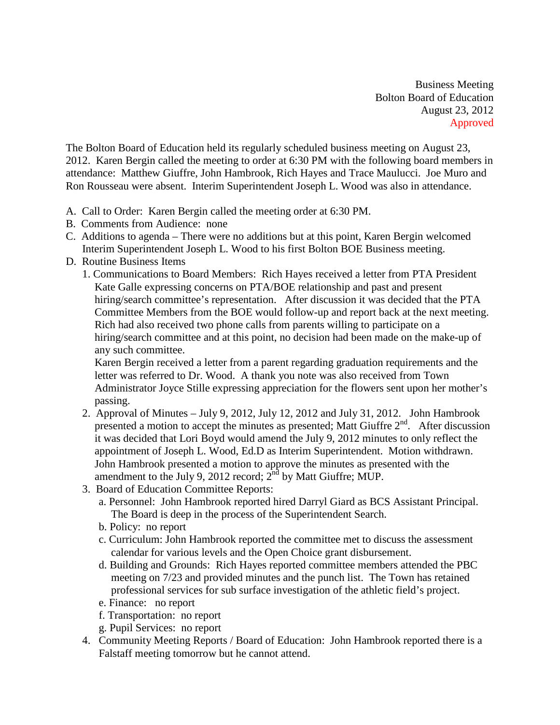Business Meeting Bolton Board of Education August 23, 2012 Approved

The Bolton Board of Education held its regularly scheduled business meeting on August 23, 2012. Karen Bergin called the meeting to order at 6:30 PM with the following board members in attendance: Matthew Giuffre, John Hambrook, Rich Hayes and Trace Maulucci. Joe Muro and Ron Rousseau were absent. Interim Superintendent Joseph L. Wood was also in attendance.

- A. Call to Order: Karen Bergin called the meeting order at 6:30 PM.
- B. Comments from Audience: none
- C. Additions to agenda There were no additions but at this point, Karen Bergin welcomed Interim Superintendent Joseph L. Wood to his first Bolton BOE Business meeting.
- D. Routine Business Items
	- 1. Communications to Board Members: Rich Hayes received a letter from PTA President Kate Galle expressing concerns on PTA/BOE relationship and past and present hiring/search committee's representation. After discussion it was decided that the PTA Committee Members from the BOE would follow-up and report back at the next meeting. Rich had also received two phone calls from parents willing to participate on a hiring/search committee and at this point, no decision had been made on the make-up of any such committee.

Karen Bergin received a letter from a parent regarding graduation requirements and the letter was referred to Dr. Wood. A thank you note was also received from Town Administrator Joyce Stille expressing appreciation for the flowers sent upon her mother's passing.

- 2. Approval of Minutes July 9, 2012, July 12, 2012 and July 31, 2012. John Hambrook presented a motion to accept the minutes as presented; Matt Giuffre 2<sup>nd</sup>. After discussion it was decided that Lori Boyd would amend the July 9, 2012 minutes to only reflect the appointment of Joseph L. Wood, Ed.D as Interim Superintendent. Motion withdrawn. John Hambrook presented a motion to approve the minutes as presented with the amendment to the July 9, 2012 record;  $2<sup>nd</sup>$  by Matt Giuffre; MUP.
- 3. Board of Education Committee Reports:
	- a. Personnel: John Hambrook reported hired Darryl Giard as BCS Assistant Principal. The Board is deep in the process of the Superintendent Search.
	- b. Policy: no report
	- c. Curriculum: John Hambrook reported the committee met to discuss the assessment calendar for various levels and the Open Choice grant disbursement.
	- d. Building and Grounds: Rich Hayes reported committee members attended the PBC meeting on 7/23 and provided minutes and the punch list. The Town has retained professional services for sub surface investigation of the athletic field's project.
	- e. Finance: no report
	- f. Transportation: no report
	- g. Pupil Services: no report
- 4. Community Meeting Reports / Board of Education: John Hambrook reported there is a Falstaff meeting tomorrow but he cannot attend.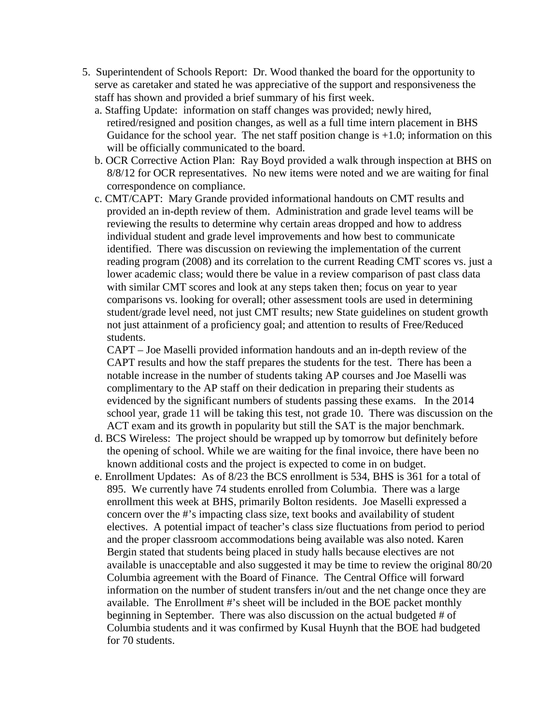- 5. Superintendent of Schools Report: Dr. Wood thanked the board for the opportunity to serve as caretaker and stated he was appreciative of the support and responsiveness the staff has shown and provided a brief summary of his first week.
	- a. Staffing Update: information on staff changes was provided; newly hired, retired/resigned and position changes, as well as a full time intern placement in BHS Guidance for the school year. The net staff position change is  $+1.0$ ; information on this will be officially communicated to the board.
	- b. OCR Corrective Action Plan: Ray Boyd provided a walk through inspection at BHS on 8/8/12 for OCR representatives. No new items were noted and we are waiting for final correspondence on compliance.
	- c. CMT/CAPT: Mary Grande provided informational handouts on CMT results and provided an in-depth review of them. Administration and grade level teams will be reviewing the results to determine why certain areas dropped and how to address individual student and grade level improvements and how best to communicate identified. There was discussion on reviewing the implementation of the current reading program (2008) and its correlation to the current Reading CMT scores vs. just a lower academic class; would there be value in a review comparison of past class data with similar CMT scores and look at any steps taken then; focus on year to year comparisons vs. looking for overall; other assessment tools are used in determining student/grade level need, not just CMT results; new State guidelines on student growth not just attainment of a proficiency goal; and attention to results of Free/Reduced students.

CAPT – Joe Maselli provided information handouts and an in-depth review of the CAPT results and how the staff prepares the students for the test. There has been a notable increase in the number of students taking AP courses and Joe Maselli was complimentary to the AP staff on their dedication in preparing their students as evidenced by the significant numbers of students passing these exams. In the 2014 school year, grade 11 will be taking this test, not grade 10. There was discussion on the ACT exam and its growth in popularity but still the SAT is the major benchmark.

- d. BCS Wireless: The project should be wrapped up by tomorrow but definitely before the opening of school. While we are waiting for the final invoice, there have been no known additional costs and the project is expected to come in on budget.
- e. Enrollment Updates: As of 8/23 the BCS enrollment is 534, BHS is 361 for a total of 895. We currently have 74 students enrolled from Columbia. There was a large enrollment this week at BHS, primarily Bolton residents. Joe Maselli expressed a concern over the #'s impacting class size, text books and availability of student electives. A potential impact of teacher's class size fluctuations from period to period and the proper classroom accommodations being available was also noted. Karen Bergin stated that students being placed in study halls because electives are not available is unacceptable and also suggested it may be time to review the original 80/20 Columbia agreement with the Board of Finance. The Central Office will forward information on the number of student transfers in/out and the net change once they are available. The Enrollment #'s sheet will be included in the BOE packet monthly beginning in September. There was also discussion on the actual budgeted # of Columbia students and it was confirmed by Kusal Huynh that the BOE had budgeted for 70 students.